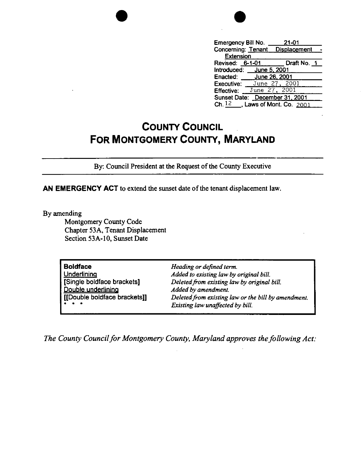

| Draft No. 1 |
|-------------|
|             |
|             |
|             |
|             |
|             |
|             |
|             |

## **COUNTY COUNCIL FOR MONTGOMERY COUNTY, MARYLAND**

By: Council President at the Request of the County Executive

**AN EMERGENCY ACT** to extend the sunset date of the tenant displacement law.

By amending

Montgomery County Code Chapter 53A, Tenant Displacement Section 53A-10, Sunset Date

| <b>Boldface</b>                                                                   | Heading or defined term.                            |
|-----------------------------------------------------------------------------------|-----------------------------------------------------|
| Underlining                                                                       | Added to existing law by original bill.             |
| [Single boldface brackets]                                                        | Deleted from existing law by original bill.         |
| Double underlining                                                                | Added by amendment.                                 |
| [[Double boldface brackets]]                                                      | Deleted from existing law or the bill by amendment. |
| $\begin{array}{cccccccccccccc} \bullet & \bullet & \bullet & \bullet \end{array}$ | Existing law unaffected by bill.                    |

**The County Council for Montgomery County, Maryland approves the following Act:**